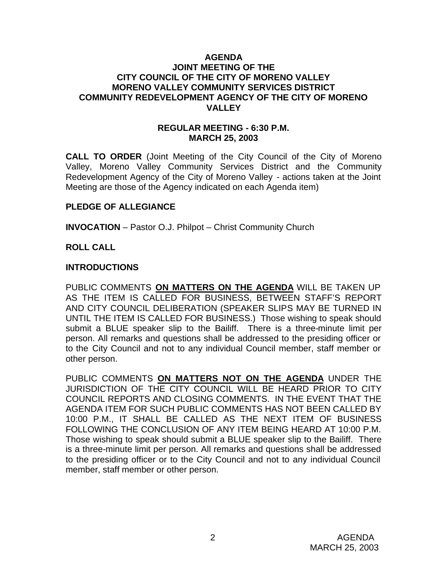### **AGENDA JOINT MEETING OF THE CITY COUNCIL OF THE CITY OF MORENO VALLEY MORENO VALLEY COMMUNITY SERVICES DISTRICT COMMUNITY REDEVELOPMENT AGENCY OF THE CITY OF MORENO VALLEY**

#### **REGULAR MEETING - 6:30 P.M. MARCH 25, 2003**

**CALL TO ORDER** (Joint Meeting of the City Council of the City of Moreno Valley, Moreno Valley Community Services District and the Community Redevelopment Agency of the City of Moreno Valley - actions taken at the Joint Meeting are those of the Agency indicated on each Agenda item)

### **PLEDGE OF ALLEGIANCE**

**INVOCATION** – Pastor O.J. Philpot – Christ Community Church

# **ROLL CALL**

### **INTRODUCTIONS**

PUBLIC COMMENTS **ON MATTERS ON THE AGENDA** WILL BE TAKEN UP AS THE ITEM IS CALLED FOR BUSINESS, BETWEEN STAFF'S REPORT AND CITY COUNCIL DELIBERATION (SPEAKER SLIPS MAY BE TURNED IN UNTIL THE ITEM IS CALLED FOR BUSINESS.) Those wishing to speak should submit a BLUE speaker slip to the Bailiff. There is a three-minute limit per person. All remarks and questions shall be addressed to the presiding officer or to the City Council and not to any individual Council member, staff member or other person.

PUBLIC COMMENTS **ON MATTERS NOT ON THE AGENDA** UNDER THE JURISDICTION OF THE CITY COUNCIL WILL BE HEARD PRIOR TO CITY COUNCIL REPORTS AND CLOSING COMMENTS. IN THE EVENT THAT THE AGENDA ITEM FOR SUCH PUBLIC COMMENTS HAS NOT BEEN CALLED BY 10:00 P.M., IT SHALL BE CALLED AS THE NEXT ITEM OF BUSINESS FOLLOWING THE CONCLUSION OF ANY ITEM BEING HEARD AT 10:00 P.M. Those wishing to speak should submit a BLUE speaker slip to the Bailiff. There is a three-minute limit per person. All remarks and questions shall be addressed to the presiding officer or to the City Council and not to any individual Council member, staff member or other person.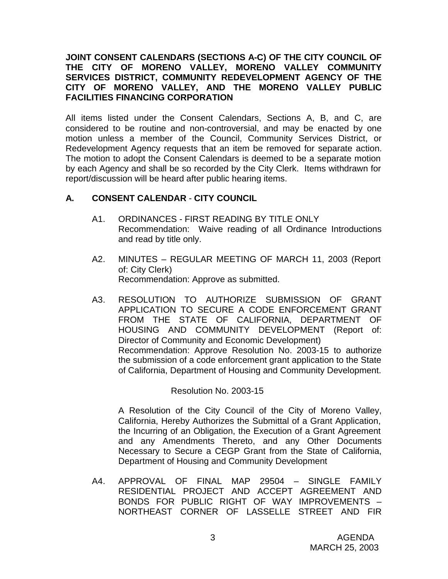## **JOINT CONSENT CALENDARS (SECTIONS A-C) OF THE CITY COUNCIL OF THE CITY OF MORENO VALLEY, MORENO VALLEY COMMUNITY SERVICES DISTRICT, COMMUNITY REDEVELOPMENT AGENCY OF THE CITY OF MORENO VALLEY, AND THE MORENO VALLEY PUBLIC FACILITIES FINANCING CORPORATION**

All items listed under the Consent Calendars, Sections A, B, and C, are considered to be routine and non-controversial, and may be enacted by one motion unless a member of the Council, Community Services District, or Redevelopment Agency requests that an item be removed for separate action. The motion to adopt the Consent Calendars is deemed to be a separate motion by each Agency and shall be so recorded by the City Clerk. Items withdrawn for report/discussion will be heard after public hearing items.

# **A. CONSENT CALENDAR** - **CITY COUNCIL**

- A1. ORDINANCES FIRST READING BY TITLE ONLY Recommendation: Waive reading of all Ordinance Introductions and read by title only.
- A2. MINUTES REGULAR MEETING OF MARCH 11, 2003 (Report of: City Clerk) Recommendation: Approve as submitted.
- A3. RESOLUTION TO AUTHORIZE SUBMISSION OF GRANT APPLICATION TO SECURE A CODE ENFORCEMENT GRANT FROM THE STATE OF CALIFORNIA, DEPARTMENT OF HOUSING AND COMMUNITY DEVELOPMENT (Report of: Director of Community and Economic Development) Recommendation: Approve Resolution No. 2003-15 to authorize the submission of a code enforcement grant application to the State of California, Department of Housing and Community Development.

Resolution No. 2003-15

A Resolution of the City Council of the City of Moreno Valley, California, Hereby Authorizes the Submittal of a Grant Application, the Incurring of an Obligation, the Execution of a Grant Agreement and any Amendments Thereto, and any Other Documents Necessary to Secure a CEGP Grant from the State of California, Department of Housing and Community Development

A4. APPROVAL OF FINAL MAP 29504 – SINGLE FAMILY RESIDENTIAL PROJECT AND ACCEPT AGREEMENT AND BONDS FOR PUBLIC RIGHT OF WAY IMPROVEMENTS – NORTHEAST CORNER OF LASSELLE STREET AND FIR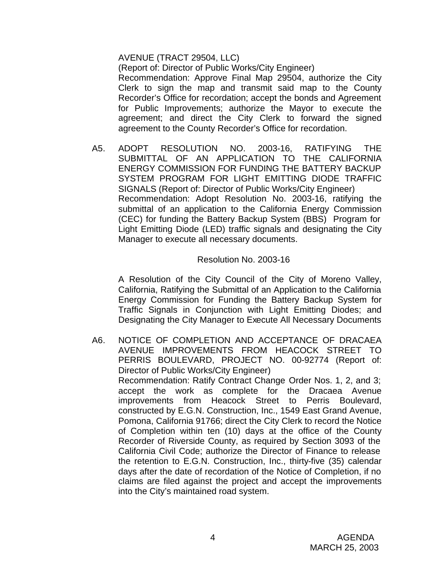### AVENUE (TRACT 29504, LLC)

(Report of: Director of Public Works/City Engineer) Recommendation: Approve Final Map 29504, authorize the City Clerk to sign the map and transmit said map to the County Recorder's Office for recordation; accept the bonds and Agreement for Public Improvements; authorize the Mayor to execute the agreement; and direct the City Clerk to forward the signed agreement to the County Recorder's Office for recordation.

A5. ADOPT RESOLUTION NO. 2003-16, RATIFYING THE SUBMITTAL OF AN APPLICATION TO THE CALIFORNIA ENERGY COMMISSION FOR FUNDING THE BATTERY BACKUP SYSTEM PROGRAM FOR LIGHT EMITTING DIODE TRAFFIC SIGNALS (Report of: Director of Public Works/City Engineer) Recommendation: Adopt Resolution No. 2003-16, ratifying the submittal of an application to the California Energy Commission (CEC) for funding the Battery Backup System (BBS) Program for Light Emitting Diode (LED) traffic signals and designating the City Manager to execute all necessary documents.

### Resolution No. 2003-16

A Resolution of the City Council of the City of Moreno Valley, California, Ratifying the Submittal of an Application to the California Energy Commission for Funding the Battery Backup System for Traffic Signals in Conjunction with Light Emitting Diodes; and Designating the City Manager to Execute All Necessary Documents

A6. NOTICE OF COMPLETION AND ACCEPTANCE OF DRACAEA AVENUE IMPROVEMENTS FROM HEACOCK STREET TO PERRIS BOULEVARD, PROJECT NO. 00-92774 (Report of: Director of Public Works/City Engineer) Recommendation: Ratify Contract Change Order Nos. 1, 2, and 3; accept the work as complete for the Dracaea Avenue improvements from Heacock Street to Perris Boulevard, constructed by E.G.N. Construction, Inc., 1549 East Grand Avenue, Pomona, California 91766; direct the City Clerk to record the Notice of Completion within ten (10) days at the office of the County Recorder of Riverside County, as required by Section 3093 of the California Civil Code; authorize the Director of Finance to release the retention to E.G.N. Construction, Inc., thirty-five (35) calendar days after the date of recordation of the Notice of Completion, if no claims are filed against the project and accept the improvements into the City's maintained road system.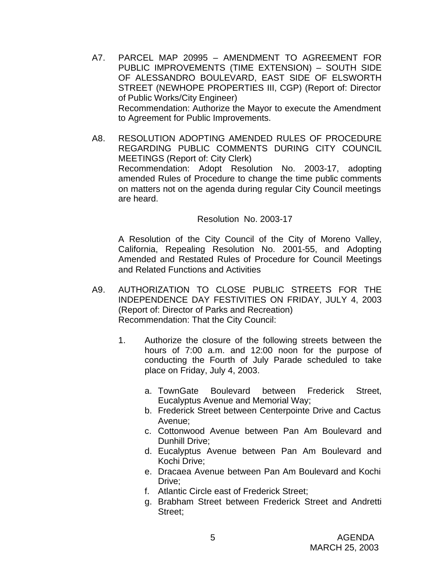- A7. PARCEL MAP 20995 AMENDMENT TO AGREEMENT FOR PUBLIC IMPROVEMENTS (TIME EXTENSION) – SOUTH SIDE OF ALESSANDRO BOULEVARD, EAST SIDE OF ELSWORTH STREET (NEWHOPE PROPERTIES III, CGP) (Report of: Director of Public Works/City Engineer) Recommendation: Authorize the Mayor to execute the Amendment to Agreement for Public Improvements.
- A8. RESOLUTION ADOPTING AMENDED RULES OF PROCEDURE REGARDING PUBLIC COMMENTS DURING CITY COUNCIL MEETINGS (Report of: City Clerk) Recommendation: Adopt Resolution No. 2003-17, adopting amended Rules of Procedure to change the time public comments on matters not on the agenda during regular City Council meetings are heard.

#### Resolution No. 2003-17

A Resolution of the City Council of the City of Moreno Valley, California, Repealing Resolution No. 2001-55, and Adopting Amended and Restated Rules of Procedure for Council Meetings and Related Functions and Activities

- A9. AUTHORIZATION TO CLOSE PUBLIC STREETS FOR THE INDEPENDENCE DAY FESTIVITIES ON FRIDAY, JULY 4, 2003 (Report of: Director of Parks and Recreation) Recommendation: That the City Council:
	- 1. Authorize the closure of the following streets between the hours of 7:00 a.m. and 12:00 noon for the purpose of conducting the Fourth of July Parade scheduled to take place on Friday, July 4, 2003.
		- a. TownGate Boulevard between Frederick Street, Eucalyptus Avenue and Memorial Way;
		- b. Frederick Street between Centerpointe Drive and Cactus Avenue;
		- c. Cottonwood Avenue between Pan Am Boulevard and Dunhill Drive;
		- d. Eucalyptus Avenue between Pan Am Boulevard and Kochi Drive;
		- e. Dracaea Avenue between Pan Am Boulevard and Kochi Drive;
		- f. Atlantic Circle east of Frederick Street;
		- g. Brabham Street between Frederick Street and Andretti Street;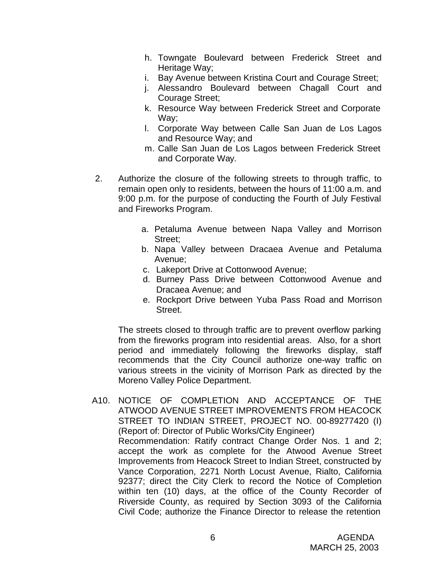- h. Towngate Boulevard between Frederick Street and Heritage Way;
- i. Bay Avenue between Kristina Court and Courage Street;
- j. Alessandro Boulevard between Chagall Court and Courage Street;
- k. Resource Way between Frederick Street and Corporate Way;
- l. Corporate Way between Calle San Juan de Los Lagos and Resource Way; and
- m. Calle San Juan de Los Lagos between Frederick Street and Corporate Way.
- 2. Authorize the closure of the following streets to through traffic, to remain open only to residents, between the hours of 11:00 a.m. and 9:00 p.m. for the purpose of conducting the Fourth of July Festival and Fireworks Program.
	- a. Petaluma Avenue between Napa Valley and Morrison Street;
	- b. Napa Valley between Dracaea Avenue and Petaluma Avenue;
	- c. Lakeport Drive at Cottonwood Avenue;
	- d. Burney Pass Drive between Cottonwood Avenue and Dracaea Avenue; and
	- e. Rockport Drive between Yuba Pass Road and Morrison Street.

The streets closed to through traffic are to prevent overflow parking from the fireworks program into residential areas. Also, for a short period and immediately following the fireworks display, staff recommends that the City Council authorize one-way traffic on various streets in the vicinity of Morrison Park as directed by the Moreno Valley Police Department.

A10. NOTICE OF COMPLETION AND ACCEPTANCE OF THE ATWOOD AVENUE STREET IMPROVEMENTS FROM HEACOCK STREET TO INDIAN STREET, PROJECT NO. 00-89277420 (I) (Report of: Director of Public Works/City Engineer) Recommendation: Ratify contract Change Order Nos. 1 and 2; accept the work as complete for the Atwood Avenue Street Improvements from Heacock Street to Indian Street, constructed by Vance Corporation, 2271 North Locust Avenue, Rialto, California 92377; direct the City Clerk to record the Notice of Completion within ten (10) days, at the office of the County Recorder of Riverside County, as required by Section 3093 of the California Civil Code; authorize the Finance Director to release the retention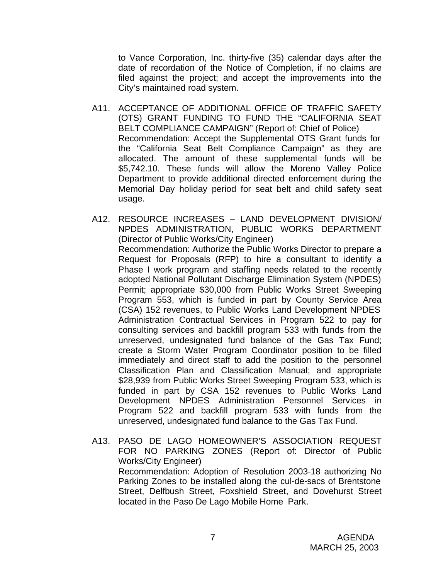to Vance Corporation, Inc. thirty-five (35) calendar days after the date of recordation of the Notice of Completion, if no claims are filed against the project; and accept the improvements into the City's maintained road system.

- A11. ACCEPTANCE OF ADDITIONAL OFFICE OF TRAFFIC SAFETY (OTS) GRANT FUNDING TO FUND THE "CALIFORNIA SEAT BELT COMPLIANCE CAMPAIGN" (Report of: Chief of Police) Recommendation: Accept the Supplemental OTS Grant funds for the "California Seat Belt Compliance Campaign" as they are allocated. The amount of these supplemental funds will be \$5,742.10. These funds will allow the Moreno Valley Police Department to provide additional directed enforcement during the Memorial Day holiday period for seat belt and child safety seat usage.
- A12. RESOURCE INCREASES LAND DEVELOPMENT DIVISION/ NPDES ADMINISTRATION, PUBLIC WORKS DEPARTMENT (Director of Public Works/City Engineer) Recommendation: Authorize the Public Works Director to prepare a Request for Proposals (RFP) to hire a consultant to identify a Phase I work program and staffing needs related to the recently adopted National Pollutant Discharge Elimination System (NPDES) Permit; appropriate \$30,000 from Public Works Street Sweeping Program 553, which is funded in part by County Service Area (CSA) 152 revenues, to Public Works Land Development NPDES Administration Contractual Services in Program 522 to pay for consulting services and backfill program 533 with funds from the unreserved, undesignated fund balance of the Gas Tax Fund; create a Storm Water Program Coordinator position to be filled immediately and direct staff to add the position to the personnel Classification Plan and Classification Manual; and appropriate \$28,939 from Public Works Street Sweeping Program 533, which is funded in part by CSA 152 revenues to Public Works Land Development NPDES Administration Personnel Services in Program 522 and backfill program 533 with funds from the unreserved, undesignated fund balance to the Gas Tax Fund.
- A13. PASO DE LAGO HOMEOWNER'S ASSOCIATION REQUEST FOR NO PARKING ZONES (Report of: Director of Public Works/City Engineer) Recommendation: Adoption of Resolution 2003-18 authorizing No Parking Zones to be installed along the cul-de-sacs of Brentstone Street, Delfbush Street, Foxshield Street, and Dovehurst Street located in the Paso De Lago Mobile Home Park.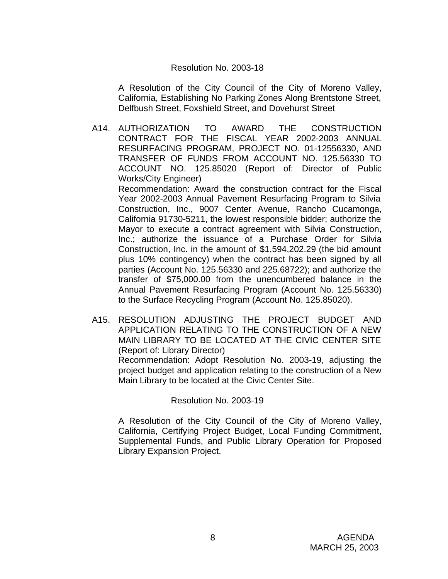#### Resolution No. 2003-18

A Resolution of the City Council of the City of Moreno Valley, California, Establishing No Parking Zones Along Brentstone Street, Delfbush Street, Foxshield Street, and Dovehurst Street

A14. AUTHORIZATION TO AWARD THE CONSTRUCTION CONTRACT FOR THE FISCAL YEAR 2002-2003 ANNUAL RESURFACING PROGRAM, PROJECT NO. 01-12556330, AND TRANSFER OF FUNDS FROM ACCOUNT NO. 125.56330 TO ACCOUNT NO. 125.85020 (Report of: Director of Public Works/City Engineer)

Recommendation: Award the construction contract for the Fiscal Year 2002-2003 Annual Pavement Resurfacing Program to Silvia Construction, Inc., 9007 Center Avenue, Rancho Cucamonga, California 91730-5211, the lowest responsible bidder; authorize the Mayor to execute a contract agreement with Silvia Construction, Inc.; authorize the issuance of a Purchase Order for Silvia Construction, Inc. in the amount of \$1,594,202.29 (the bid amount plus 10% contingency) when the contract has been signed by all parties (Account No. 125.56330 and 225.68722); and authorize the transfer of \$75,000.00 from the unencumbered balance in the Annual Pavement Resurfacing Program (Account No. 125.56330) to the Surface Recycling Program (Account No. 125.85020).

A15. RESOLUTION ADJUSTING THE PROJECT BUDGET AND APPLICATION RELATING TO THE CONSTRUCTION OF A NEW MAIN LIBRARY TO BE LOCATED AT THE CIVIC CENTER SITE (Report of: Library Director) Recommendation: Adopt Resolution No. 2003-19, adjusting the project budget and application relating to the construction of a New Main Library to be located at the Civic Center Site.

Resolution No. 2003-19

A Resolution of the City Council of the City of Moreno Valley, California, Certifying Project Budget, Local Funding Commitment, Supplemental Funds, and Public Library Operation for Proposed Library Expansion Project.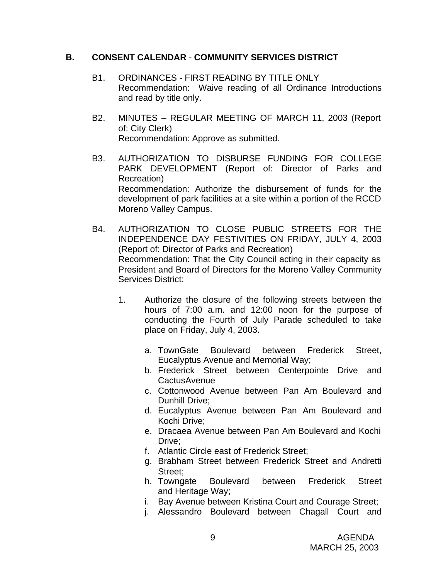### **B. CONSENT CALENDAR** - **COMMUNITY SERVICES DISTRICT**

- B1. ORDINANCES FIRST READING BY TITLE ONLY Recommendation: Waive reading of all Ordinance Introductions and read by title only.
- B2. MINUTES REGULAR MEETING OF MARCH 11, 2003 (Report of: City Clerk) Recommendation: Approve as submitted.
- B3. AUTHORIZATION TO DISBURSE FUNDING FOR COLLEGE PARK DEVELOPMENT (Report of: Director of Parks and Recreation) Recommendation: Authorize the disbursement of funds for the development of park facilities at a site within a portion of the RCCD Moreno Valley Campus.
- B4. AUTHORIZATION TO CLOSE PUBLIC STREETS FOR THE INDEPENDENCE DAY FESTIVITIES ON FRIDAY, JULY 4, 2003 (Report of: Director of Parks and Recreation) Recommendation: That the City Council acting in their capacity as President and Board of Directors for the Moreno Valley Community Services District:
	- 1. Authorize the closure of the following streets between the hours of 7:00 a.m. and 12:00 noon for the purpose of conducting the Fourth of July Parade scheduled to take place on Friday, July 4, 2003.
		- a. TownGate Boulevard between Frederick Street, Eucalyptus Avenue and Memorial Way;
		- b. Frederick Street between Centerpointe Drive and **CactusAvenue**
		- c. Cottonwood Avenue between Pan Am Boulevard and Dunhill Drive;
		- d. Eucalyptus Avenue between Pan Am Boulevard and Kochi Drive;
		- e. Dracaea Avenue between Pan Am Boulevard and Kochi Drive;
		- f. Atlantic Circle east of Frederick Street;
		- g. Brabham Street between Frederick Street and Andretti Street;
		- h. Towngate Boulevard between Frederick Street and Heritage Way;
		- i. Bay Avenue between Kristina Court and Courage Street;
		- j. Alessandro Boulevard between Chagall Court and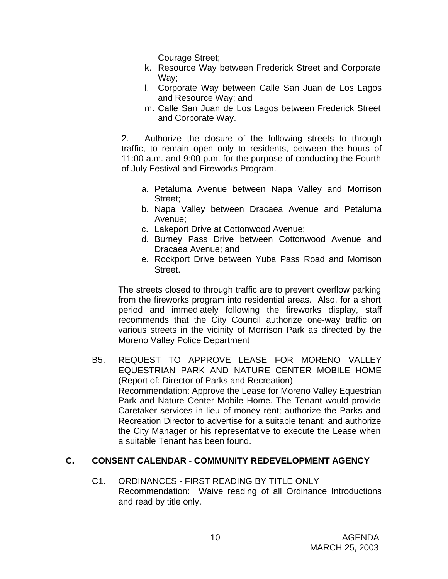Courage Street;

- k. Resource Way between Frederick Street and Corporate Way;
- l. Corporate Way between Calle San Juan de Los Lagos and Resource Way; and
- m. Calle San Juan de Los Lagos between Frederick Street and Corporate Way.

2. Authorize the closure of the following streets to through traffic, to remain open only to residents, between the hours of 11:00 a.m. and 9:00 p.m. for the purpose of conducting the Fourth of July Festival and Fireworks Program.

- a. Petaluma Avenue between Napa Valley and Morrison Street;
- b. Napa Valley between Dracaea Avenue and Petaluma Avenue;
- c. Lakeport Drive at Cottonwood Avenue;
- d. Burney Pass Drive between Cottonwood Avenue and Dracaea Avenue; and
- e. Rockport Drive between Yuba Pass Road and Morrison Street.

The streets closed to through traffic are to prevent overflow parking from the fireworks program into residential areas. Also, for a short period and immediately following the fireworks display, staff recommends that the City Council authorize one-way traffic on various streets in the vicinity of Morrison Park as directed by the Moreno Valley Police Department

B5. REQUEST TO APPROVE LEASE FOR MORENO VALLEY EQUESTRIAN PARK AND NATURE CENTER MOBILE HOME (Report of: Director of Parks and Recreation) Recommendation: Approve the Lease for Moreno Valley Equestrian Park and Nature Center Mobile Home. The Tenant would provide Caretaker services in lieu of money rent; authorize the Parks and Recreation Director to advertise for a suitable tenant; and authorize the City Manager or his representative to execute the Lease when a suitable Tenant has been found.

# **C. CONSENT CALENDAR** - **COMMUNITY REDEVELOPMENT AGENCY**

C1. ORDINANCES - FIRST READING BY TITLE ONLY Recommendation: Waive reading of all Ordinance Introductions and read by title only.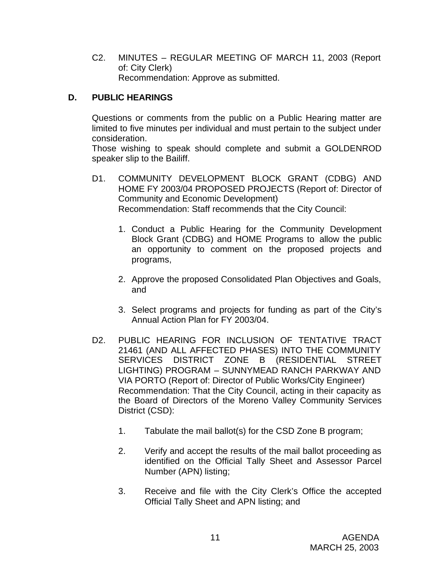C2. MINUTES – REGULAR MEETING OF MARCH 11, 2003 (Report of: City Clerk) Recommendation: Approve as submitted.

# **D. PUBLIC HEARINGS**

Questions or comments from the public on a Public Hearing matter are limited to five minutes per individual and must pertain to the subject under consideration.

Those wishing to speak should complete and submit a GOLDENROD speaker slip to the Bailiff.

- D1. COMMUNITY DEVELOPMENT BLOCK GRANT (CDBG) AND HOME FY 2003/04 PROPOSED PROJECTS (Report of: Director of Community and Economic Development) Recommendation: Staff recommends that the City Council:
	- 1. Conduct a Public Hearing for the Community Development Block Grant (CDBG) and HOME Programs to allow the public an opportunity to comment on the proposed projects and programs,
	- 2. Approve the proposed Consolidated Plan Objectives and Goals, and
	- 3. Select programs and projects for funding as part of the City's Annual Action Plan for FY 2003/04.
- D2. PUBLIC HEARING FOR INCLUSION OF TENTATIVE TRACT 21461 (AND ALL AFFECTED PHASES) INTO THE COMMUNITY SERVICES DISTRICT ZONE B (RESIDENTIAL STREET LIGHTING) PROGRAM – SUNNYMEAD RANCH PARKWAY AND VIA PORTO (Report of: Director of Public Works/City Engineer) Recommendation: That the City Council, acting in their capacity as the Board of Directors of the Moreno Valley Community Services District (CSD):
	- 1. Tabulate the mail ballot(s) for the CSD Zone B program;
	- 2. Verify and accept the results of the mail ballot proceeding as identified on the Official Tally Sheet and Assessor Parcel Number (APN) listing;
	- 3. Receive and file with the City Clerk's Office the accepted Official Tally Sheet and APN listing; and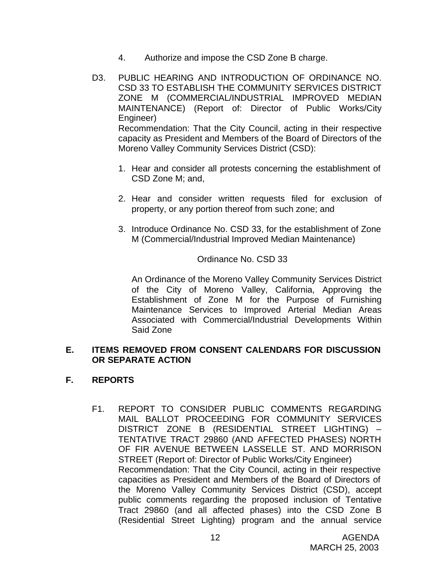- 4. Authorize and impose the CSD Zone B charge.
- D3. PUBLIC HEARING AND INTRODUCTION OF ORDINANCE NO. CSD 33 TO ESTABLISH THE COMMUNITY SERVICES DISTRICT ZONE M (COMMERCIAL/INDUSTRIAL IMPROVED MEDIAN MAINTENANCE) (Report of: Director of Public Works/City Engineer) Recommendation: That the City Council, acting in their respective capacity as President and Members of the Board of Directors of the Moreno Valley Community Services District (CSD):
	- 1. Hear and consider all protests concerning the establishment of CSD Zone M; and,
	- 2. Hear and consider written requests filed for exclusion of property, or any portion thereof from such zone; and
	- 3. Introduce Ordinance No. CSD 33, for the establishment of Zone M (Commercial/Industrial Improved Median Maintenance)

# Ordinance No. CSD 33

An Ordinance of the Moreno Valley Community Services District of the City of Moreno Valley, California, Approving the Establishment of Zone M for the Purpose of Furnishing Maintenance Services to Improved Arterial Median Areas Associated with Commercial/Industrial Developments Within Said Zone

#### **E. ITEMS REMOVED FROM CONSENT CALENDARS FOR DISCUSSION OR SEPARATE ACTION**

### **F. REPORTS**

F1. REPORT TO CONSIDER PUBLIC COMMENTS REGARDING MAIL BALLOT PROCEEDING FOR COMMUNITY SERVICES DISTRICT ZONE B (RESIDENTIAL STREET LIGHTING) – TENTATIVE TRACT 29860 (AND AFFECTED PHASES) NORTH OF FIR AVENUE BETWEEN LASSELLE ST. AND MORRISON STREET (Report of: Director of Public Works/City Engineer) Recommendation: That the City Council, acting in their respective capacities as President and Members of the Board of Directors of the Moreno Valley Community Services District (CSD), accept public comments regarding the proposed inclusion of Tentative Tract 29860 (and all affected phases) into the CSD Zone B (Residential Street Lighting) program and the annual service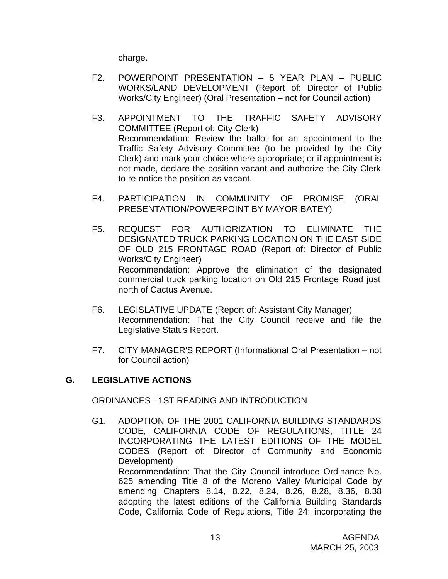charge.

- F2. POWERPOINT PRESENTATION 5 YEAR PLAN PUBLIC WORKS/LAND DEVELOPMENT (Report of: Director of Public Works/City Engineer) (Oral Presentation – not for Council action)
- F3. APPOINTMENT TO THE TRAFFIC SAFETY ADVISORY COMMITTEE (Report of: City Clerk) Recommendation: Review the ballot for an appointment to the Traffic Safety Advisory Committee (to be provided by the City Clerk) and mark your choice where appropriate; or if appointment is not made, declare the position vacant and authorize the City Clerk to re-notice the position as vacant.
- F4. PARTICIPATION IN COMMUNITY OF PROMISE (ORAL PRESENTATION/POWERPOINT BY MAYOR BATEY)
- F5. REQUEST FOR AUTHORIZATION TO ELIMINATE THE DESIGNATED TRUCK PARKING LOCATION ON THE EAST SIDE OF OLD 215 FRONTAGE ROAD (Report of: Director of Public Works/City Engineer) Recommendation: Approve the elimination of the designated commercial truck parking location on Old 215 Frontage Road just north of Cactus Avenue.
- F6. LEGISLATIVE UPDATE (Report of: Assistant City Manager) Recommendation: That the City Council receive and file the Legislative Status Report.
- F7. CITY MANAGER'S REPORT (Informational Oral Presentation not for Council action)

# **G. LEGISLATIVE ACTIONS**

ORDINANCES - 1ST READING AND INTRODUCTION

G1. ADOPTION OF THE 2001 CALIFORNIA BUILDING STANDARDS CODE, CALIFORNIA CODE OF REGULATIONS, TITLE 24 INCORPORATING THE LATEST EDITIONS OF THE MODEL CODES (Report of: Director of Community and Economic Development) Recommendation: That the City Council introduce Ordinance No. 625 amending Title 8 of the Moreno Valley Municipal Code by amending Chapters 8.14, 8.22, 8.24, 8.26, 8.28, 8.36, 8.38 adopting the latest editions of the California Building Standards Code, California Code of Regulations, Title 24: incorporating the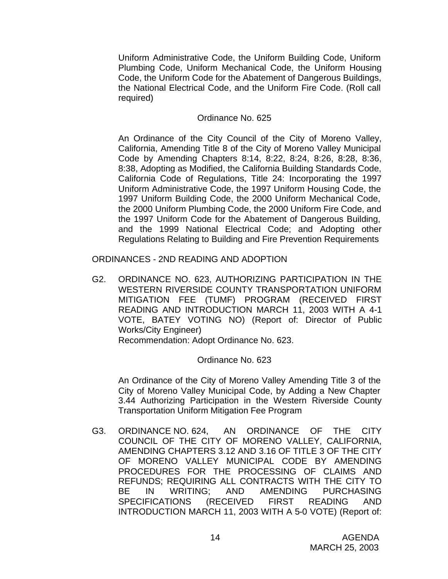Uniform Administrative Code, the Uniform Building Code, Uniform Plumbing Code, Uniform Mechanical Code, the Uniform Housing Code, the Uniform Code for the Abatement of Dangerous Buildings, the National Electrical Code, and the Uniform Fire Code. (Roll call required)

## Ordinance No. 625

An Ordinance of the City Council of the City of Moreno Valley, California, Amending Title 8 of the City of Moreno Valley Municipal Code by Amending Chapters 8:14, 8:22, 8:24, 8:26, 8:28, 8:36, 8:38, Adopting as Modified, the California Building Standards Code, California Code of Regulations, Title 24: Incorporating the 1997 Uniform Administrative Code, the 1997 Uniform Housing Code, the 1997 Uniform Building Code, the 2000 Uniform Mechanical Code, the 2000 Uniform Plumbing Code, the 2000 Uniform Fire Code, and the 1997 Uniform Code for the Abatement of Dangerous Building, and the 1999 National Electrical Code; and Adopting other Regulations Relating to Building and Fire Prevention Requirements

ORDINANCES - 2ND READING AND ADOPTION

G2. ORDINANCE NO. 623, AUTHORIZING PARTICIPATION IN THE WESTERN RIVERSIDE COUNTY TRANSPORTATION UNIFORM MITIGATION FEE (TUMF) PROGRAM (RECEIVED FIRST READING AND INTRODUCTION MARCH 11, 2003 WITH A 4-1 VOTE, BATEY VOTING NO) (Report of: Director of Public Works/City Engineer)

Recommendation: Adopt Ordinance No. 623.

# Ordinance No. 623

An Ordinance of the City of Moreno Valley Amending Title 3 of the City of Moreno Valley Municipal Code, by Adding a New Chapter 3.44 Authorizing Participation in the Western Riverside County Transportation Uniform Mitigation Fee Program

G3. ORDINANCE NO. 624, AN ORDINANCE OF THE CITY COUNCIL OF THE CITY OF MORENO VALLEY, CALIFORNIA, AMENDING CHAPTERS 3.12 AND 3.16 OF TITLE 3 OF THE CITY OF MORENO VALLEY MUNICIPAL CODE BY AMENDING PROCEDURES FOR THE PROCESSING OF CLAIMS AND REFUNDS; REQUIRING ALL CONTRACTS WITH THE CITY TO BE IN WRITING; AND AMENDING PURCHASING SPECIFICATIONS (RECEIVED FIRST READING AND INTRODUCTION MARCH 11, 2003 WITH A 5-0 VOTE) (Report of: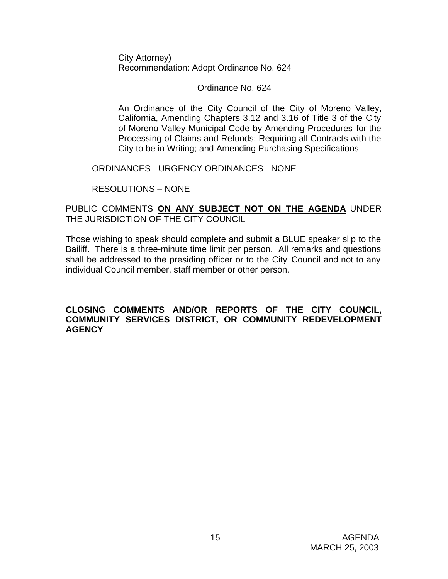City Attorney) Recommendation: Adopt Ordinance No. 624

### Ordinance No. 624

An Ordinance of the City Council of the City of Moreno Valley, California, Amending Chapters 3.12 and 3.16 of Title 3 of the City of Moreno Valley Municipal Code by Amending Procedures for the Processing of Claims and Refunds; Requiring all Contracts with the City to be in Writing; and Amending Purchasing Specifications

#### ORDINANCES - URGENCY ORDINANCES - NONE

RESOLUTIONS – NONE

# PUBLIC COMMENTS **ON ANY SUBJECT NOT ON THE AGENDA** UNDER THE JURISDICTION OF THE CITY COUNCIL

Those wishing to speak should complete and submit a BLUE speaker slip to the Bailiff. There is a three-minute time limit per person. All remarks and questions shall be addressed to the presiding officer or to the City Council and not to any individual Council member, staff member or other person.

#### **CLOSING COMMENTS AND/OR REPORTS OF THE CITY COUNCIL, COMMUNITY SERVICES DISTRICT, OR COMMUNITY REDEVELOPMENT AGENCY**